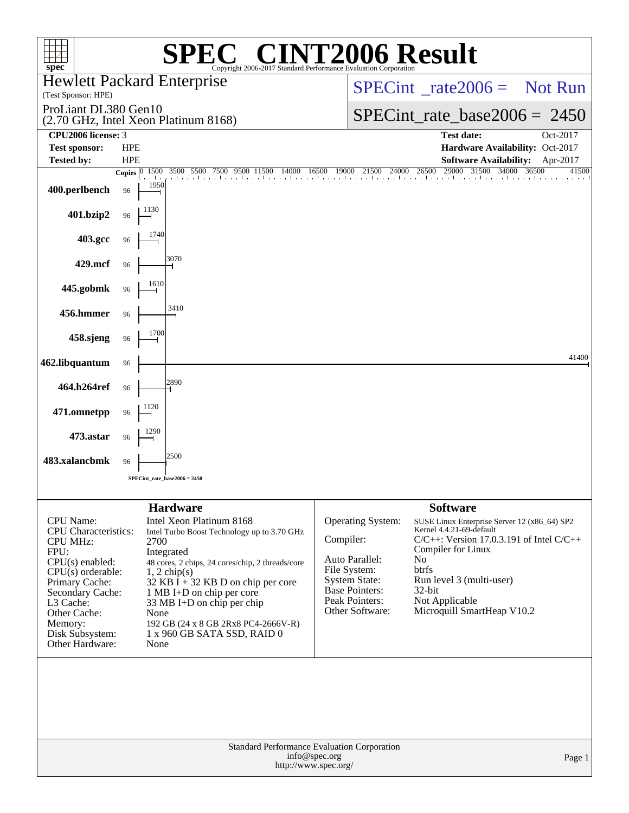| $spec^*$                                                                                                                                                                                                                            |                          |                                                                                                                                                                                                                                                                                                                                                                                 |                                       | <b>C® CINT2006 Result</b><br>Copyright 2006-2017 Standard Performance Evaluation Corporation                                                           |                                                                                                                                                                                                                                                                         |                |
|-------------------------------------------------------------------------------------------------------------------------------------------------------------------------------------------------------------------------------------|--------------------------|---------------------------------------------------------------------------------------------------------------------------------------------------------------------------------------------------------------------------------------------------------------------------------------------------------------------------------------------------------------------------------|---------------------------------------|--------------------------------------------------------------------------------------------------------------------------------------------------------|-------------------------------------------------------------------------------------------------------------------------------------------------------------------------------------------------------------------------------------------------------------------------|----------------|
| (Test Sponsor: HPE)                                                                                                                                                                                                                 |                          | <b>Hewlett Packard Enterprise</b>                                                                                                                                                                                                                                                                                                                                               |                                       | $SPECint^{\circ}$ <sub>rate</sub> 2006 = Not Run                                                                                                       |                                                                                                                                                                                                                                                                         |                |
| ProLiant DL380 Gen10                                                                                                                                                                                                                |                          | (2.70 GHz, Intel Xeon Platinum 8168)                                                                                                                                                                                                                                                                                                                                            |                                       |                                                                                                                                                        | $SPECint_rate_base2006 = 2450$                                                                                                                                                                                                                                          |                |
| CPU <sub>2006</sub> license: 3                                                                                                                                                                                                      |                          |                                                                                                                                                                                                                                                                                                                                                                                 |                                       |                                                                                                                                                        | <b>Test date:</b>                                                                                                                                                                                                                                                       | Oct-2017       |
| <b>Test sponsor:</b><br><b>Tested by:</b>                                                                                                                                                                                           | <b>HPE</b><br><b>HPE</b> |                                                                                                                                                                                                                                                                                                                                                                                 |                                       |                                                                                                                                                        | Hardware Availability: Oct-2017<br><b>Software Availability:</b>                                                                                                                                                                                                        | Apr-2017       |
|                                                                                                                                                                                                                                     | Copies $\boxed{0-1500}$  | 3500<br>5500 7500<br>9500<br>a La                                                                                                                                                                                                                                                                                                                                               | 16500<br>11500<br>14000               | 19000<br>21500<br>24000                                                                                                                                | 29000<br>31500<br>26500<br>34000<br>i bari birin bari bari bari barri bir raktara bir raktara barri barri barri barri barri barri barri bar                                                                                                                             | 36500<br>41500 |
| 400.perlbench                                                                                                                                                                                                                       | 96                       | 1950                                                                                                                                                                                                                                                                                                                                                                            |                                       |                                                                                                                                                        |                                                                                                                                                                                                                                                                         |                |
| 401.bzip2                                                                                                                                                                                                                           | 96                       | 1130                                                                                                                                                                                                                                                                                                                                                                            |                                       |                                                                                                                                                        |                                                                                                                                                                                                                                                                         |                |
| 403.gcc                                                                                                                                                                                                                             | 96                       | 1740                                                                                                                                                                                                                                                                                                                                                                            |                                       |                                                                                                                                                        |                                                                                                                                                                                                                                                                         |                |
| 429.mcf                                                                                                                                                                                                                             | 96                       | 3070                                                                                                                                                                                                                                                                                                                                                                            |                                       |                                                                                                                                                        |                                                                                                                                                                                                                                                                         |                |
| 445.gobmk                                                                                                                                                                                                                           | 96                       | 1610                                                                                                                                                                                                                                                                                                                                                                            |                                       |                                                                                                                                                        |                                                                                                                                                                                                                                                                         |                |
| 456.hmmer                                                                                                                                                                                                                           | 96                       | 3410                                                                                                                                                                                                                                                                                                                                                                            |                                       |                                                                                                                                                        |                                                                                                                                                                                                                                                                         |                |
| 458.sjeng                                                                                                                                                                                                                           | 96                       | 1700                                                                                                                                                                                                                                                                                                                                                                            |                                       |                                                                                                                                                        |                                                                                                                                                                                                                                                                         |                |
| 462.libquantum                                                                                                                                                                                                                      | 96                       |                                                                                                                                                                                                                                                                                                                                                                                 |                                       |                                                                                                                                                        |                                                                                                                                                                                                                                                                         | 41400          |
| 464.h264ref                                                                                                                                                                                                                         | 96                       | 2890                                                                                                                                                                                                                                                                                                                                                                            |                                       |                                                                                                                                                        |                                                                                                                                                                                                                                                                         |                |
| 471.omnetpp                                                                                                                                                                                                                         | 96                       | 1120                                                                                                                                                                                                                                                                                                                                                                            |                                       |                                                                                                                                                        |                                                                                                                                                                                                                                                                         |                |
| 473.astar                                                                                                                                                                                                                           | 96                       | 1290                                                                                                                                                                                                                                                                                                                                                                            |                                       |                                                                                                                                                        |                                                                                                                                                                                                                                                                         |                |
| 483.xalancbmk                                                                                                                                                                                                                       | 96                       | 2500                                                                                                                                                                                                                                                                                                                                                                            |                                       |                                                                                                                                                        |                                                                                                                                                                                                                                                                         |                |
|                                                                                                                                                                                                                                     |                          | $SPECint_rate_base2006 = 2450$                                                                                                                                                                                                                                                                                                                                                  |                                       |                                                                                                                                                        |                                                                                                                                                                                                                                                                         |                |
|                                                                                                                                                                                                                                     |                          |                                                                                                                                                                                                                                                                                                                                                                                 |                                       |                                                                                                                                                        |                                                                                                                                                                                                                                                                         |                |
| CPU Name:<br><b>CPU</b> Characteristics:<br><b>CPU MHz:</b><br>FPU:<br>$CPU(s)$ enabled:<br>$CPU(s)$ orderable:<br>Primary Cache:<br>Secondary Cache:<br>L3 Cache:<br>Other Cache:<br>Memory:<br>Disk Subsystem:<br>Other Hardware: |                          | <b>Hardware</b><br>Intel Xeon Platinum 8168<br>Intel Turbo Boost Technology up to 3.70 GHz<br>2700<br>Integrated<br>48 cores, 2 chips, 24 cores/chip, 2 threads/core<br>$1, 2$ chip(s)<br>$32$ KB I + 32 KB D on chip per core<br>1 MB I+D on chip per core<br>33 MB I+D on chip per chip<br>None<br>192 GB (24 x 8 GB 2Rx8 PC4-2666V-R)<br>1 x 960 GB SATA SSD, RAID 0<br>None |                                       | Operating System:<br>Compiler:<br>Auto Parallel:<br>File System:<br><b>System State:</b><br><b>Base Pointers:</b><br>Peak Pointers:<br>Other Software: | <b>Software</b><br>SUSE Linux Enterprise Server 12 (x86_64) SP2<br>Kernel 4.4.21-69-default<br>$C/C++$ : Version 17.0.3.191 of Intel $C/C++$<br>Compiler for Linux<br>No<br>btrfs<br>Run level 3 (multi-user)<br>32-bit<br>Not Applicable<br>Microquill SmartHeap V10.2 |                |
|                                                                                                                                                                                                                                     |                          |                                                                                                                                                                                                                                                                                                                                                                                 | info@spec.org<br>http://www.spec.org/ | Standard Performance Evaluation Corporation                                                                                                            |                                                                                                                                                                                                                                                                         | Page 1         |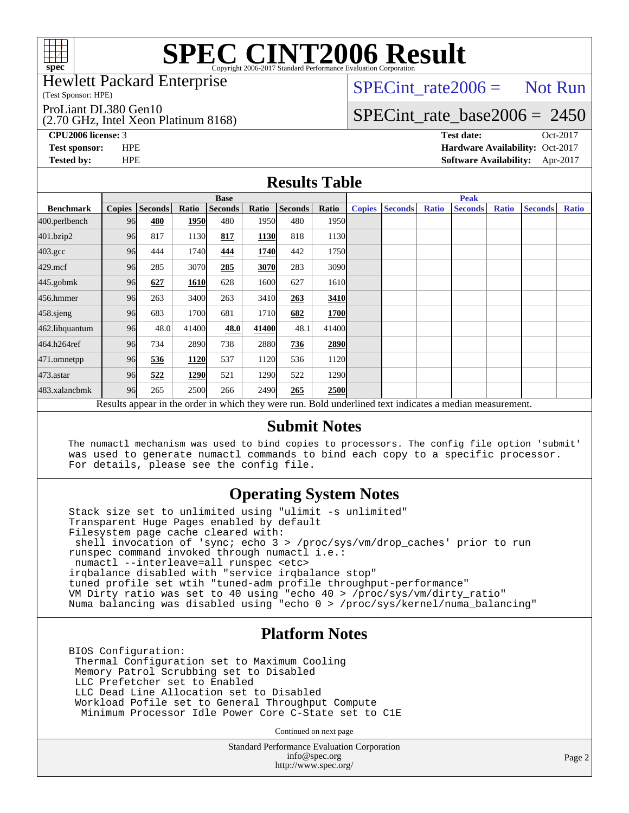

# **[SPEC CINT2006 Result](http://www.spec.org/auto/cpu2006/Docs/result-fields.html#SPECCINT2006Result)**

Hewlett Packard Enterprise

(Test Sponsor: HPE)

ProLiant DL380 Gen10

(2.70 GHz, Intel Xeon Platinum 8168)

 $SPECTnt_rate2006 = Not Run$ 

### [SPECint\\_rate\\_base2006 =](http://www.spec.org/auto/cpu2006/Docs/result-fields.html#SPECintratebase2006) 2450

**[CPU2006 license:](http://www.spec.org/auto/cpu2006/Docs/result-fields.html#CPU2006license)** 3 **[Test date:](http://www.spec.org/auto/cpu2006/Docs/result-fields.html#Testdate)** Oct-2017 **[Test sponsor:](http://www.spec.org/auto/cpu2006/Docs/result-fields.html#Testsponsor)** HPE **[Hardware Availability:](http://www.spec.org/auto/cpu2006/Docs/result-fields.html#HardwareAvailability)** Oct-2017 **[Tested by:](http://www.spec.org/auto/cpu2006/Docs/result-fields.html#Testedby)** HPE **[Software Availability:](http://www.spec.org/auto/cpu2006/Docs/result-fields.html#SoftwareAvailability)** Apr-2017

#### **[Results Table](http://www.spec.org/auto/cpu2006/Docs/result-fields.html#ResultsTable)**

|                                                                                                          | <b>Base</b>   |                |       |                |       |                |             |               | <b>Peak</b>    |              |                |              |                |              |  |
|----------------------------------------------------------------------------------------------------------|---------------|----------------|-------|----------------|-------|----------------|-------------|---------------|----------------|--------------|----------------|--------------|----------------|--------------|--|
| <b>Benchmark</b>                                                                                         | <b>Copies</b> | <b>Seconds</b> | Ratio | <b>Seconds</b> | Ratio | <b>Seconds</b> | Ratio       | <b>Copies</b> | <b>Seconds</b> | <b>Ratio</b> | <b>Seconds</b> | <b>Ratio</b> | <b>Seconds</b> | <b>Ratio</b> |  |
| 400.perlbench                                                                                            | 96            | 480            | 1950  | 480            | 1950  | 480            | 1950l       |               |                |              |                |              |                |              |  |
| 401.bzip2                                                                                                | 96            | 817            | 1130  | 817            | 1130  | 818            | 1130        |               |                |              |                |              |                |              |  |
| $403.\mathrm{gcc}$                                                                                       | 96            | 444            | 1740  | 444            | 1740  | 442            | 1750        |               |                |              |                |              |                |              |  |
| $429$ .mcf                                                                                               | 96            | 285            | 3070  | 285            | 3070  | 283            | 3090        |               |                |              |                |              |                |              |  |
| $445$ .gobm $k$                                                                                          | 96            | 627            | 1610  | 628            | 1600  | 627            | 1610        |               |                |              |                |              |                |              |  |
| 456.hmmer                                                                                                | 96            | 263            | 3400  | 263            | 3410  | 263            | 3410        |               |                |              |                |              |                |              |  |
| 458.sjeng                                                                                                | 96            | 683            | 1700  | 681            | 1710  | 682            | <b>1700</b> |               |                |              |                |              |                |              |  |
| 462.libquantum                                                                                           | 96            | 48.0           | 41400 | 48.0           | 41400 | 48.1           | 41400       |               |                |              |                |              |                |              |  |
| 464.h264ref                                                                                              | 96            | 734            | 2890  | 738            | 2880  | 736            | 2890        |               |                |              |                |              |                |              |  |
| 471.omnetpp                                                                                              | 96            | 536            | 1120  | 537            | 1120  | 536            | 1120        |               |                |              |                |              |                |              |  |
| $473$ . astar                                                                                            | 96            | 522            | 1290  | 521            | 1290  | 522            | 1290        |               |                |              |                |              |                |              |  |
| 483.xalancbmk                                                                                            | 96            | 265            | 2500  | 266            | 2490  | 265            | 2500        |               |                |              |                |              |                |              |  |
| Results appear in the order in which they were run. Bold underlined text indicates a median measurement. |               |                |       |                |       |                |             |               |                |              |                |              |                |              |  |

#### **[Submit Notes](http://www.spec.org/auto/cpu2006/Docs/result-fields.html#SubmitNotes)**

 The numactl mechanism was used to bind copies to processors. The config file option 'submit' was used to generate numactl commands to bind each copy to a specific processor. For details, please see the config file.

### **[Operating System Notes](http://www.spec.org/auto/cpu2006/Docs/result-fields.html#OperatingSystemNotes)**

 Stack size set to unlimited using "ulimit -s unlimited" Transparent Huge Pages enabled by default Filesystem page cache cleared with: shell invocation of 'sync; echo 3 > /proc/sys/vm/drop\_caches' prior to run runspec command invoked through numactl i.e.: numactl --interleave=all runspec <etc> irqbalance disabled with "service irqbalance stop" tuned profile set wtih "tuned-adm profile throughput-performance" VM Dirty ratio was set to 40 using "echo 40 > /proc/sys/vm/dirty\_ratio" Numa balancing was disabled using "echo 0 > /proc/sys/kernel/numa\_balancing"

#### **[Platform Notes](http://www.spec.org/auto/cpu2006/Docs/result-fields.html#PlatformNotes)**

 BIOS Configuration: Thermal Configuration set to Maximum Cooling Memory Patrol Scrubbing set to Disabled LLC Prefetcher set to Enabled LLC Dead Line Allocation set to Disabled Workload Pofile set to General Throughput Compute Minimum Processor Idle Power Core C-State set to C1E

Continued on next page

Standard Performance Evaluation Corporation [info@spec.org](mailto:info@spec.org) <http://www.spec.org/>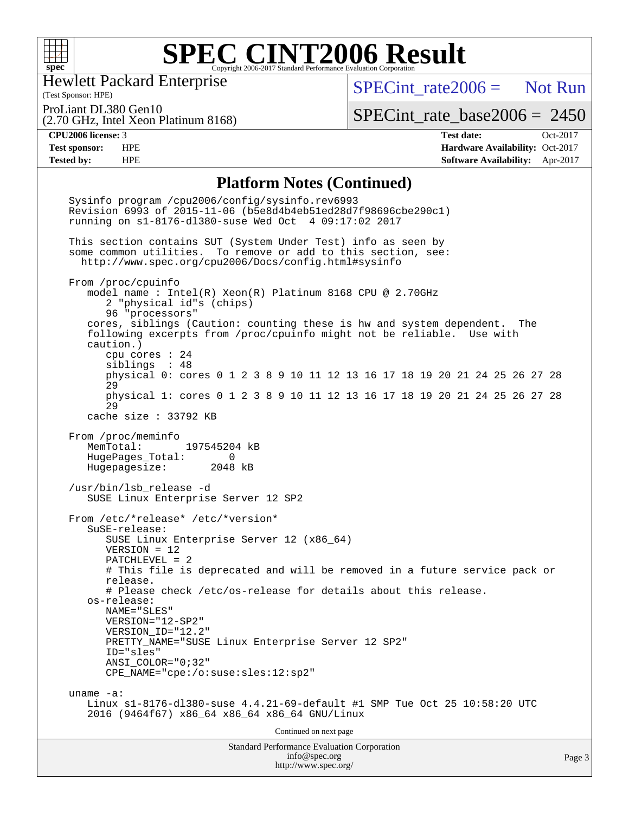

#### **[SPEC CINT2006 Result](http://www.spec.org/auto/cpu2006/Docs/result-fields.html#SPECCINT2006Result)** Copyright 2006-2017 Standard Performance Evaluation Corporation

Hewlett Packard Enterprise

(2.70 GHz, Intel Xeon Platinum 8168)

 $SPECint rate2006 =$  Not Run

(Test Sponsor: HPE) ProLiant DL380 Gen10

[SPECint\\_rate\\_base2006 =](http://www.spec.org/auto/cpu2006/Docs/result-fields.html#SPECintratebase2006) 2450

**[CPU2006 license:](http://www.spec.org/auto/cpu2006/Docs/result-fields.html#CPU2006license)** 3 **[Test date:](http://www.spec.org/auto/cpu2006/Docs/result-fields.html#Testdate)** Oct-2017 **[Test sponsor:](http://www.spec.org/auto/cpu2006/Docs/result-fields.html#Testsponsor)** HPE **[Hardware Availability:](http://www.spec.org/auto/cpu2006/Docs/result-fields.html#HardwareAvailability)** Oct-2017 **[Tested by:](http://www.spec.org/auto/cpu2006/Docs/result-fields.html#Testedby)** HPE **[Software Availability:](http://www.spec.org/auto/cpu2006/Docs/result-fields.html#SoftwareAvailability)** Apr-2017

#### **[Platform Notes \(Continued\)](http://www.spec.org/auto/cpu2006/Docs/result-fields.html#PlatformNotes)**

Standard Performance Evaluation Corporation [info@spec.org](mailto:info@spec.org) Sysinfo program /cpu2006/config/sysinfo.rev6993 Revision 6993 of 2015-11-06 (b5e8d4b4eb51ed28d7f98696cbe290c1) running on s1-8176-dl380-suse Wed Oct 4 09:17:02 2017 This section contains SUT (System Under Test) info as seen by some common utilities. To remove or add to this section, see: <http://www.spec.org/cpu2006/Docs/config.html#sysinfo> From /proc/cpuinfo model name : Intel(R) Xeon(R) Platinum 8168 CPU @ 2.70GHz 2 "physical id"s (chips) 96 "processors" cores, siblings (Caution: counting these is hw and system dependent. The following excerpts from /proc/cpuinfo might not be reliable. Use with caution.) cpu cores : 24 siblings : 48 physical 0: cores 0 1 2 3 8 9 10 11 12 13 16 17 18 19 20 21 24 25 26 27 28 29 physical 1: cores 0 1 2 3 8 9 10 11 12 13 16 17 18 19 20 21 24 25 26 27 28 29 cache size : 33792 KB From /proc/meminfo MemTotal: 197545204 kB HugePages\_Total: 0 Hugepagesize: 2048 kB /usr/bin/lsb\_release -d SUSE Linux Enterprise Server 12 SP2 From /etc/\*release\* /etc/\*version\* SuSE-release: SUSE Linux Enterprise Server 12 (x86\_64) VERSION = 12 PATCHLEVEL = 2 # This file is deprecated and will be removed in a future service pack or release. # Please check /etc/os-release for details about this release. os-release: NAME="SLES" VERSION="12-SP2" VERSION\_ID="12.2" PRETTY NAME="SUSE Linux Enterprise Server 12 SP2" ID="sles" ANSI\_COLOR="0;32" CPE\_NAME="cpe:/o:suse:sles:12:sp2" uname -a: Linux s1-8176-dl380-suse 4.4.21-69-default #1 SMP Tue Oct 25 10:58:20 UTC 2016 (9464f67) x86\_64 x86\_64 x86\_64 GNU/Linux Continued on next page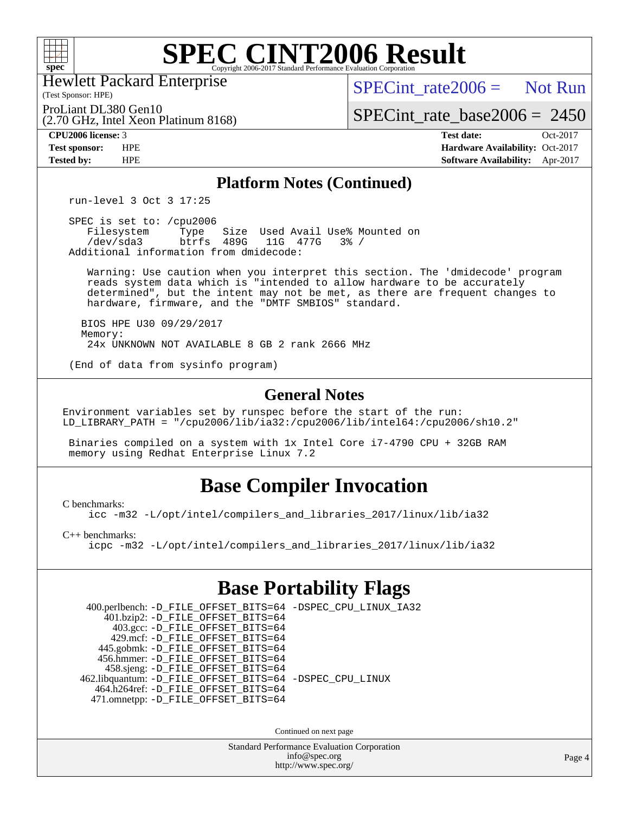

## **[SPEC CINT2006 Result](http://www.spec.org/auto/cpu2006/Docs/result-fields.html#SPECCINT2006Result)**

Hewlett Packard Enterprise

(2.70 GHz, Intel Xeon Platinum 8168)

 $SPECint rate2006 =$  Not Run

(Test Sponsor: HPE) ProLiant DL380 Gen10

[SPECint\\_rate\\_base2006 =](http://www.spec.org/auto/cpu2006/Docs/result-fields.html#SPECintratebase2006) 2450

**[CPU2006 license:](http://www.spec.org/auto/cpu2006/Docs/result-fields.html#CPU2006license)** 3 **[Test date:](http://www.spec.org/auto/cpu2006/Docs/result-fields.html#Testdate)** Oct-2017 **[Test sponsor:](http://www.spec.org/auto/cpu2006/Docs/result-fields.html#Testsponsor)** HPE **[Hardware Availability:](http://www.spec.org/auto/cpu2006/Docs/result-fields.html#HardwareAvailability)** Oct-2017 **[Tested by:](http://www.spec.org/auto/cpu2006/Docs/result-fields.html#Testedby)** HPE **[Software Availability:](http://www.spec.org/auto/cpu2006/Docs/result-fields.html#SoftwareAvailability)** Apr-2017

#### **[Platform Notes \(Continued\)](http://www.spec.org/auto/cpu2006/Docs/result-fields.html#PlatformNotes)**

run-level 3 Oct 3 17:25

 SPEC is set to: /cpu2006 Filesystem Type Size Used Avail Use% Mounted on<br>
/dev/sda3 btrfs 489G 11G 477G 3% / 11G 477G 3% / Additional information from dmidecode:

 Warning: Use caution when you interpret this section. The 'dmidecode' program reads system data which is "intended to allow hardware to be accurately determined", but the intent may not be met, as there are frequent changes to hardware, firmware, and the "DMTF SMBIOS" standard.

 BIOS HPE U30 09/29/2017 Memory: 24x UNKNOWN NOT AVAILABLE 8 GB 2 rank 2666 MHz

(End of data from sysinfo program)

#### **[General Notes](http://www.spec.org/auto/cpu2006/Docs/result-fields.html#GeneralNotes)**

Environment variables set by runspec before the start of the run: LD\_LIBRARY\_PATH = "/cpu2006/lib/ia32:/cpu2006/lib/intel64:/cpu2006/sh10.2"

 Binaries compiled on a system with 1x Intel Core i7-4790 CPU + 32GB RAM memory using Redhat Enterprise Linux 7.2

## **[Base Compiler Invocation](http://www.spec.org/auto/cpu2006/Docs/result-fields.html#BaseCompilerInvocation)**

[C benchmarks](http://www.spec.org/auto/cpu2006/Docs/result-fields.html#Cbenchmarks):

[icc -m32 -L/opt/intel/compilers\\_and\\_libraries\\_2017/linux/lib/ia32](http://www.spec.org/cpu2006/results/res2017q4/cpu2006-20171017-50317.flags.html#user_CCbase_intel_icc_c29f3ff5a7ed067b11e4ec10a03f03ae)

[C++ benchmarks:](http://www.spec.org/auto/cpu2006/Docs/result-fields.html#CXXbenchmarks)

[icpc -m32 -L/opt/intel/compilers\\_and\\_libraries\\_2017/linux/lib/ia32](http://www.spec.org/cpu2006/results/res2017q4/cpu2006-20171017-50317.flags.html#user_CXXbase_intel_icpc_8c35c7808b62dab9ae41a1aa06361b6b)

## **[Base Portability Flags](http://www.spec.org/auto/cpu2006/Docs/result-fields.html#BasePortabilityFlags)**

 400.perlbench: [-D\\_FILE\\_OFFSET\\_BITS=64](http://www.spec.org/cpu2006/results/res2017q4/cpu2006-20171017-50317.flags.html#user_basePORTABILITY400_perlbench_file_offset_bits_64_438cf9856305ebd76870a2c6dc2689ab) [-DSPEC\\_CPU\\_LINUX\\_IA32](http://www.spec.org/cpu2006/results/res2017q4/cpu2006-20171017-50317.flags.html#b400.perlbench_baseCPORTABILITY_DSPEC_CPU_LINUX_IA32) 401.bzip2: [-D\\_FILE\\_OFFSET\\_BITS=64](http://www.spec.org/cpu2006/results/res2017q4/cpu2006-20171017-50317.flags.html#user_basePORTABILITY401_bzip2_file_offset_bits_64_438cf9856305ebd76870a2c6dc2689ab) 403.gcc: [-D\\_FILE\\_OFFSET\\_BITS=64](http://www.spec.org/cpu2006/results/res2017q4/cpu2006-20171017-50317.flags.html#user_basePORTABILITY403_gcc_file_offset_bits_64_438cf9856305ebd76870a2c6dc2689ab) 429.mcf: [-D\\_FILE\\_OFFSET\\_BITS=64](http://www.spec.org/cpu2006/results/res2017q4/cpu2006-20171017-50317.flags.html#user_basePORTABILITY429_mcf_file_offset_bits_64_438cf9856305ebd76870a2c6dc2689ab) 445.gobmk: [-D\\_FILE\\_OFFSET\\_BITS=64](http://www.spec.org/cpu2006/results/res2017q4/cpu2006-20171017-50317.flags.html#user_basePORTABILITY445_gobmk_file_offset_bits_64_438cf9856305ebd76870a2c6dc2689ab) 456.hmmer: [-D\\_FILE\\_OFFSET\\_BITS=64](http://www.spec.org/cpu2006/results/res2017q4/cpu2006-20171017-50317.flags.html#user_basePORTABILITY456_hmmer_file_offset_bits_64_438cf9856305ebd76870a2c6dc2689ab) 458.sjeng: [-D\\_FILE\\_OFFSET\\_BITS=64](http://www.spec.org/cpu2006/results/res2017q4/cpu2006-20171017-50317.flags.html#user_basePORTABILITY458_sjeng_file_offset_bits_64_438cf9856305ebd76870a2c6dc2689ab) 462.libquantum: [-D\\_FILE\\_OFFSET\\_BITS=64](http://www.spec.org/cpu2006/results/res2017q4/cpu2006-20171017-50317.flags.html#user_basePORTABILITY462_libquantum_file_offset_bits_64_438cf9856305ebd76870a2c6dc2689ab) [-DSPEC\\_CPU\\_LINUX](http://www.spec.org/cpu2006/results/res2017q4/cpu2006-20171017-50317.flags.html#b462.libquantum_baseCPORTABILITY_DSPEC_CPU_LINUX) 464.h264ref: [-D\\_FILE\\_OFFSET\\_BITS=64](http://www.spec.org/cpu2006/results/res2017q4/cpu2006-20171017-50317.flags.html#user_basePORTABILITY464_h264ref_file_offset_bits_64_438cf9856305ebd76870a2c6dc2689ab) 471.omnetpp: [-D\\_FILE\\_OFFSET\\_BITS=64](http://www.spec.org/cpu2006/results/res2017q4/cpu2006-20171017-50317.flags.html#user_basePORTABILITY471_omnetpp_file_offset_bits_64_438cf9856305ebd76870a2c6dc2689ab)

Continued on next page

Standard Performance Evaluation Corporation [info@spec.org](mailto:info@spec.org) <http://www.spec.org/>